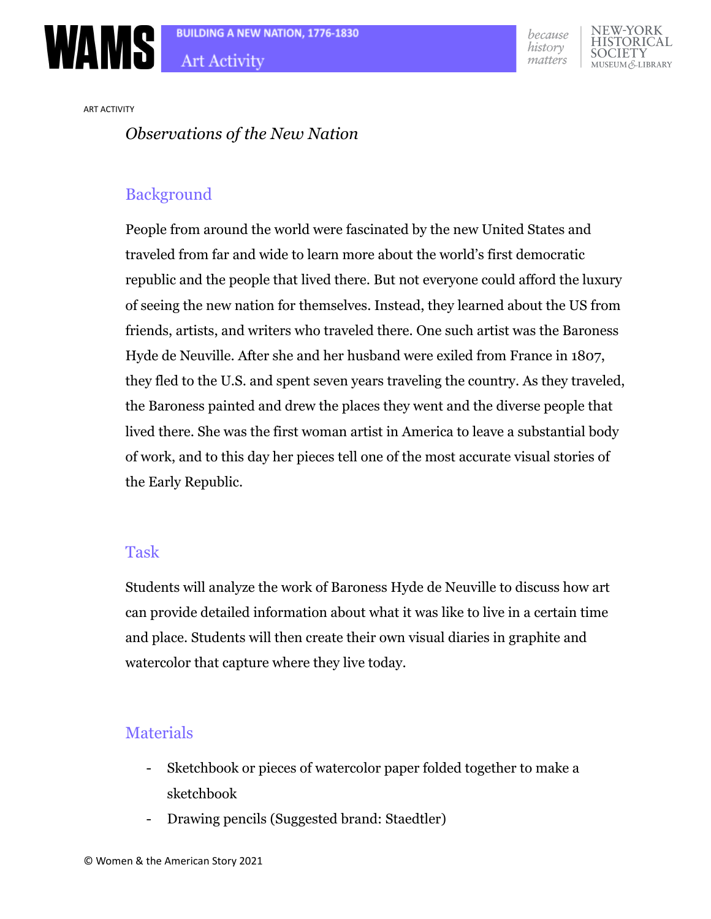





ART ACTIVITY

### *Observations of the New Nation*

## Background

People from around the world were fascinated by the new United States and traveled from far and wide to learn more about the world's first democratic republic and the people that lived there. But not everyone could afford the luxury of seeing the new nation for themselves. Instead, they learned about the US from friends, artists, and writers who traveled there. One such artist was the Baroness Hyde de Neuville. After she and her husband were exiled from France in 1807, they fled to the U.S. and spent seven years traveling the country. As they traveled, the Baroness painted and drew the places they went and the diverse people that lived there. She was the first woman artist in America to leave a substantial body of work, and to this day her pieces tell one of the most accurate visual stories of the Early Republic.

#### Task

Students will analyze the work of Baroness Hyde de Neuville to discuss how art can provide detailed information about what it was like to live in a certain time and place. Students will then create their own visual diaries in graphite and watercolor that capture where they live today.

## Materials

- Sketchbook or pieces of watercolor paper folded together to make a sketchbook
- Drawing pencils (Suggested brand: Staedtler)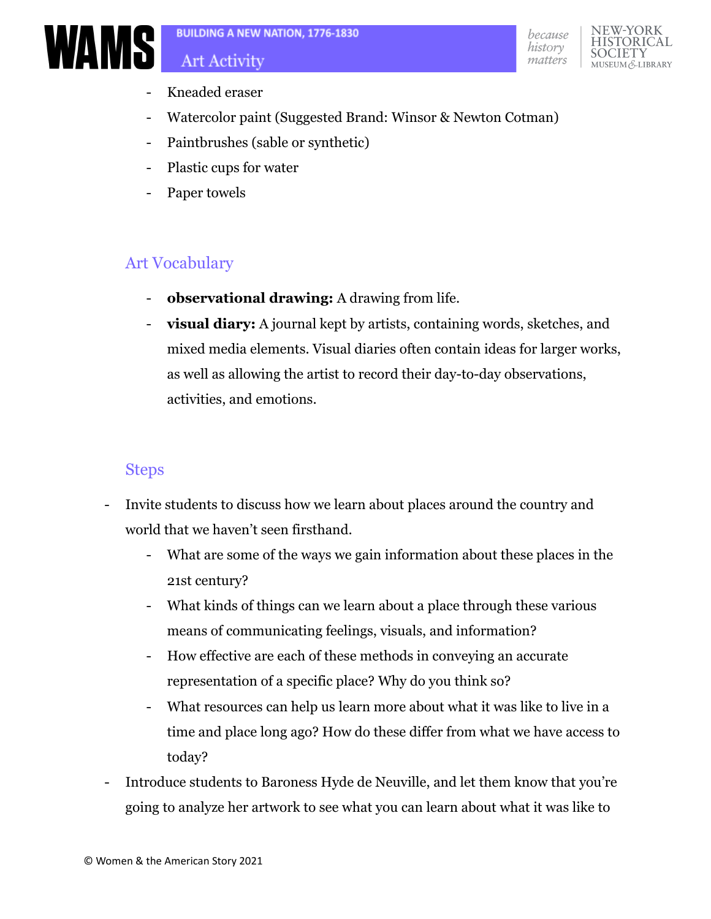

- Kneaded eraser
- Watercolor paint (Suggested Brand: Winsor & Newton Cotman)
- Paintbrushes (sable or synthetic)
- Plastic cups for water
- Paper towels

# Art Vocabulary

- **observational drawing:** A drawing from life.
- **visual diary:** A journal kept by artists, containing words, sketches, and mixed media elements. Visual diaries often contain ideas for larger works, as well as allowing the artist to record their day-to-day observations, activities, and emotions.

# Steps

- Invite students to discuss how we learn about places around the country and world that we haven't seen firsthand.
	- What are some of the ways we gain information about these places in the 21st century?
	- What kinds of things can we learn about a place through these various means of communicating feelings, visuals, and information?
	- How effective are each of these methods in conveying an accurate representation of a specific place? Why do you think so?
	- What resources can help us learn more about what it was like to live in a time and place long ago? How do these differ from what we have access to today?
- Introduce students to Baroness Hyde de Neuville, and let them know that you're going to analyze her artwork to see what you can learn about what it was like to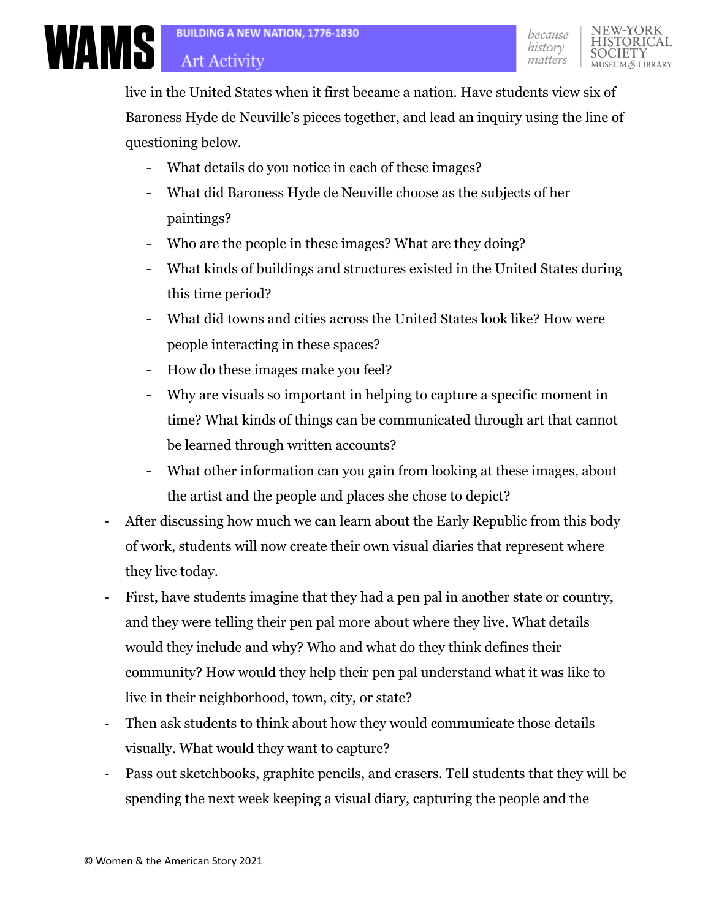**ARTICLE SULLDING A NEW PROPERTY** 

live in the United States when it first became a nation. Have students view six of Baroness Hyde de Neuville's pieces together, and lead an inquiry using the line of questioning below.

- What details do you notice in each of these images?
- What did Baroness Hyde de Neuville choose as the subjects of her paintings?
- Who are the people in these images? What are they doing?
- What kinds of buildings and structures existed in the United States during this time period?
- What did towns and cities across the United States look like? How were people interacting in these spaces?
- How do these images make you feel?
- Why are visuals so important in helping to capture a specific moment in time? What kinds of things can be communicated through art that cannot be learned through written accounts?
- What other information can you gain from looking at these images, about the artist and the people and places she chose to depict?
- After discussing how much we can learn about the Early Republic from this body of work, students will now create their own visual diaries that represent where they live today.
- First, have students imagine that they had a pen pal in another state or country, and they were telling their pen pal more about where they live. What details would they include and why? Who and what do they think defines their community? How would they help their pen pal understand what it was like to live in their neighborhood, town, city, or state?
- Then ask students to think about how they would communicate those details visually. What would they want to capture?
- Pass out sketchbooks, graphite pencils, and erasers. Tell students that they will be spending the next week keeping a visual diary, capturing the people and the